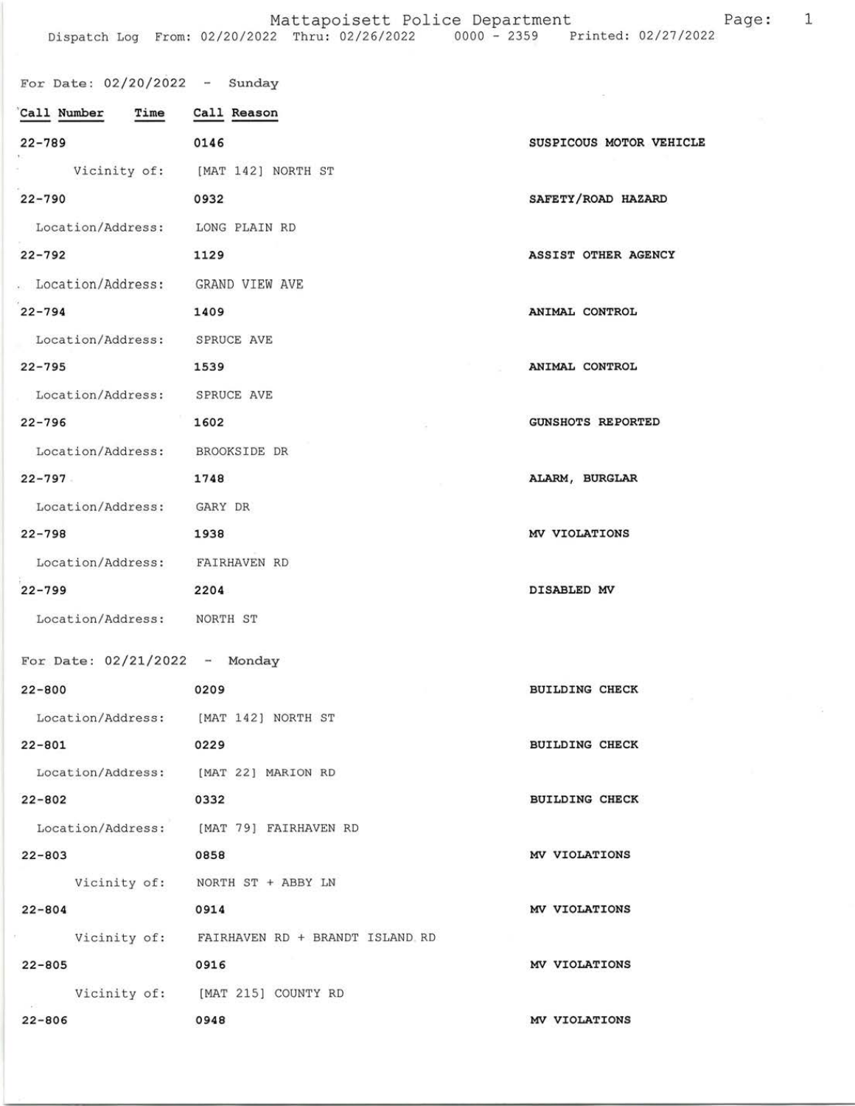## Mattapoisett Police Department Page: 1

| For Date: $02/20/2022 -$ Sunday    |                                              |                          |
|------------------------------------|----------------------------------------------|--------------------------|
| Call Number Time Call Reason       |                                              |                          |
| $22 - 789$                         | 0146                                         | SUSPICOUS MOTOR VEHICLE  |
|                                    | Vicinity of: [MAT 142] NORTH ST              |                          |
| $22 - 790$                         | 0932                                         | SAFETY/ROAD HAZARD       |
| Location/Address: LONG PLAIN RD    |                                              |                          |
| $22 - 792$                         | 1129                                         | ASSIST OTHER AGENCY      |
| . Location/Address: GRAND VIEW AVE |                                              |                          |
| $22 - 794$                         | 1409                                         | ANIMAL CONTROL           |
| Location/Address: SPRUCE AVE       |                                              |                          |
| $22 - 795$                         | 1539                                         | ANIMAL CONTROL           |
| Location/Address: SPRUCE AVE       |                                              |                          |
| $22 - 796$                         | 1602                                         | <b>GUNSHOTS REPORTED</b> |
| Location/Address: BROOKSIDE DR     |                                              |                          |
| $22 - 797$                         | 1748                                         | ALARM, BURGLAR           |
| Location/Address: GARY DR          |                                              |                          |
| $22 - 798$                         | 1938                                         | MV VIOLATIONS            |
| Location/Address: FAIRHAVEN RD     |                                              |                          |
| $22 - 799$                         | 2204                                         | DISABLED MV              |
| Location/Address: NORTH ST         |                                              |                          |
| For Date: $02/21/2022 -$ Monday    |                                              |                          |
| $22 - 800$                         | 0209                                         | <b>BUILDING CHECK</b>    |
|                                    | Location/Address: [MAT 142] NORTH ST         |                          |
| $22 - 801$                         | 0229                                         | <b>BUILDING CHECK</b>    |
|                                    | Location/Address: [MAT 22] MARION RD         |                          |
| $22 - 802$                         | 0332                                         | <b>BUILDING CHECK</b>    |
|                                    | Location/Address: [MAT 79] FAIRHAVEN RD      |                          |
| $22 - 803$                         | 0858                                         | MV VIOLATIONS            |
|                                    | Vicinity of: NORTH ST + ABBY LN              |                          |
| $22 - 804$                         | 0914                                         | MV VIOLATIONS            |
|                                    | Vicinity of: FAIRHAVEN RD + BRANDT ISLAND RD |                          |
| $22 - 805$                         | 0916                                         | MV VIOLATIONS            |
|                                    | Vicinity of: [MAT 215] COUNTY RD             |                          |
| $22 - 806$                         | 0948                                         | MV VIOLATIONS            |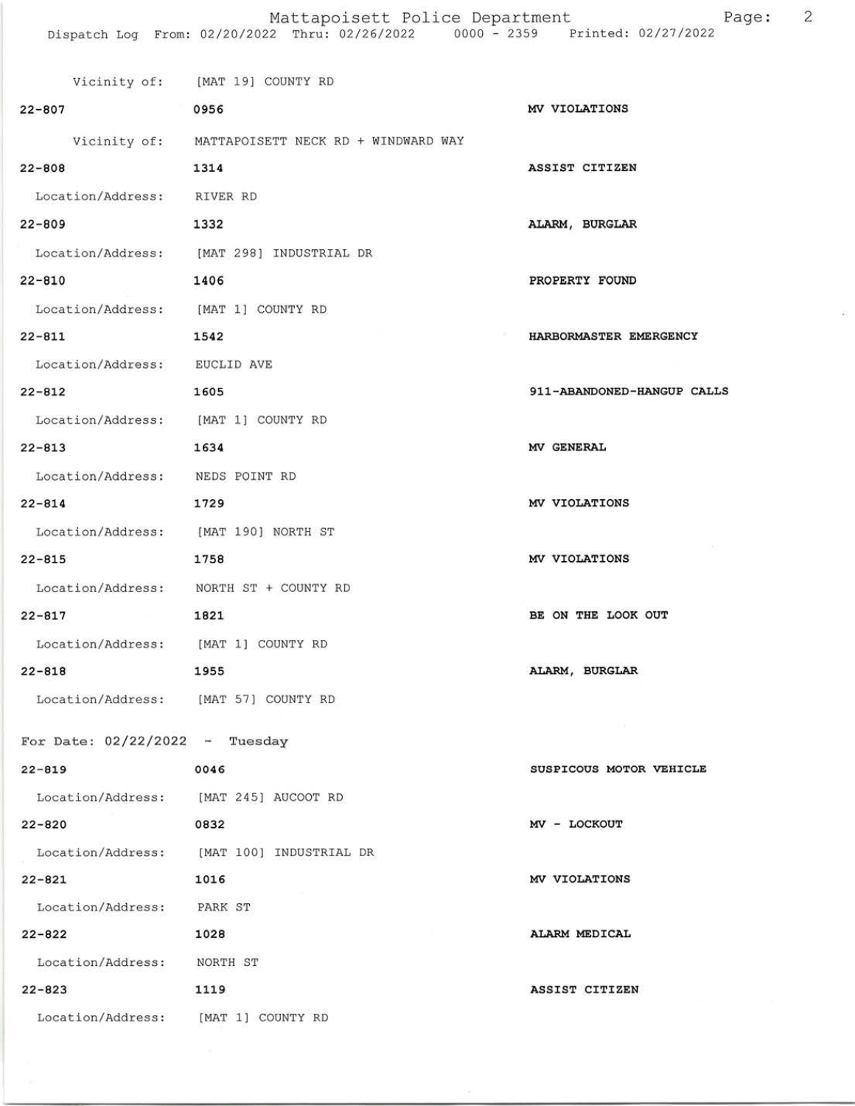$\widetilde{\mathcal{D}}$ 

|                                        | Vicinity of: [MAT 19] COUNTY RD                  |                            |
|----------------------------------------|--------------------------------------------------|----------------------------|
| $22 - 807$                             | 0956                                             | MV VIOLATIONS              |
|                                        | Vicinity of: MATTAPOISETT NECK RD + WINDWARD WAY |                            |
| $22 - 808$                             | 1314                                             | ASSIST CITIZEN             |
| Location/Address: RIVER RD             |                                                  |                            |
| $22 - 809$                             | 1332                                             | ALARM, BURGLAR             |
|                                        | Location/Address: [MAT 298] INDUSTRIAL DR        |                            |
| 22-810                                 | 1406                                             | PROPERTY FOUND             |
| Location/Address: [MAT 1] COUNTY RD    |                                                  |                            |
| $22 - 811$                             | 1542                                             | HARBORMASTER EMERGENCY     |
| Location/Address: EUCLID AVE           |                                                  |                            |
| $22 - 812$                             | 1605                                             | 911-ABANDONED-HANGUP CALLS |
| Location/Address: [MAT 1] COUNTY RD    |                                                  |                            |
| $22 - 813$<br>1634                     |                                                  | MV GENERAL                 |
| Location/Address: NEDS POINT RD        |                                                  |                            |
| $22 - 814$                             | 1729                                             | MV VIOLATIONS              |
| Location/Address: [MAT 190] NORTH ST   |                                                  |                            |
| $22 - 815$                             | 1758                                             | MV VIOLATIONS              |
| Location/Address: NORTH ST + COUNTY RD |                                                  |                            |
| $22 - 817$<br>the control of the con-  | 1821                                             | BE ON THE LOOK OUT         |
| Location/Address: [MAT 1] COUNTY RD    |                                                  |                            |
| $22 - 818$                             | 1955                                             | ALARM, BURGLAR             |
| Location/Address: [MAT 57] COUNTY RD   |                                                  |                            |
| For Date: $02/22/2022 -$ Tuesday       |                                                  |                            |
| $22 - 819$                             | 0046                                             | SUSPICOUS MOTOR VEHICLE    |
| Location/Address: [MAT 245] AUCOOT RD  |                                                  |                            |
| $22 - 820$                             | 0832                                             | MV - LOCKOUT               |
|                                        | Location/Address: [MAT 100] INDUSTRIAL DR        |                            |
| $22 - 821$                             | 1016                                             | MV VIOLATIONS              |
| Location/Address: PARK ST              |                                                  |                            |
| $22 - 822$                             | 1028                                             | ALARM MEDICAL              |
| Location/Address: NORTH ST             |                                                  |                            |
| $22 - 823$                             | 1119                                             | ASSIST CITIZEN             |
| Location/Address: [MAT 1] COUNTY RD    |                                                  |                            |
|                                        |                                                  |                            |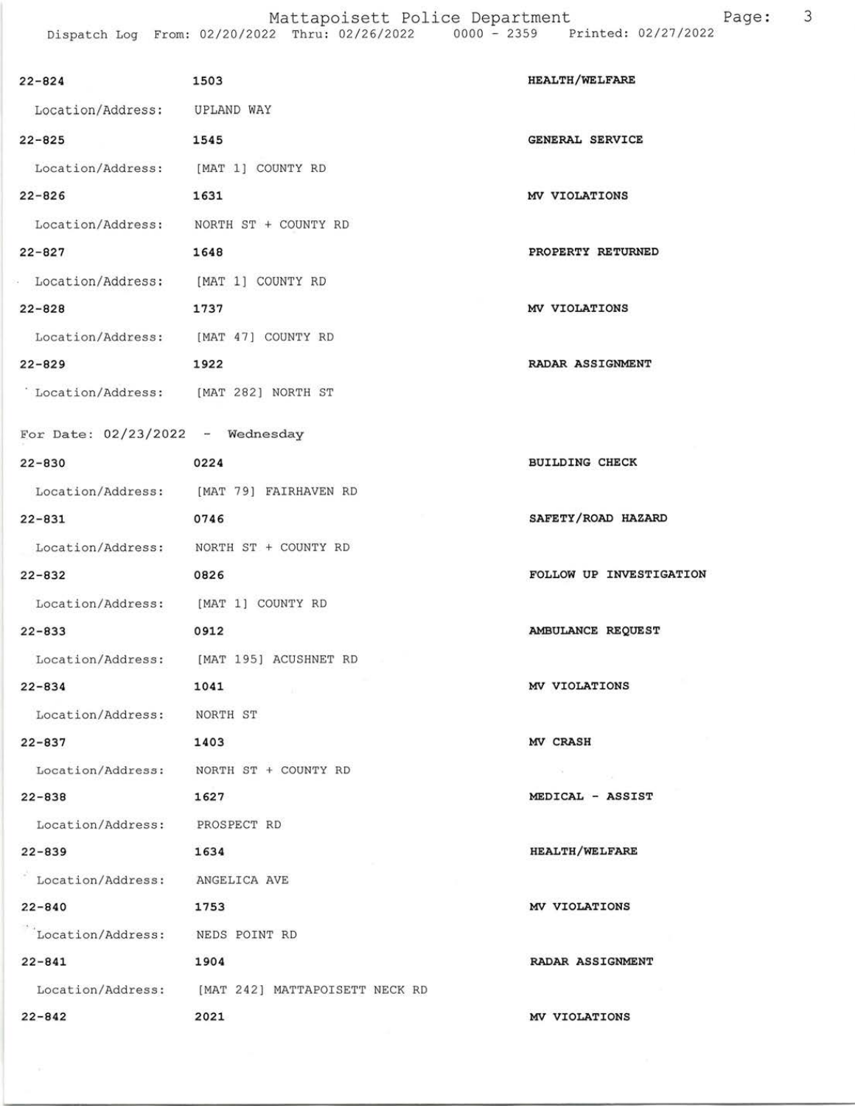Mattapoisett Police Department Page: 3 Dispatch Log From: 02/20/2022 Thru: 02/26/2022 0000 - 2359 Printed: 02/2'l /2022

| $22 - 824$                            | 1503                                             | <b>HEALTH/WELFARE</b>         |
|---------------------------------------|--------------------------------------------------|-------------------------------|
| Location/Address: UPLAND WAY          |                                                  |                               |
| $22 - 825$                            | 1545                                             | GENERAL SERVICE               |
| Location/Address: [MAT 1] COUNTY RD   |                                                  |                               |
| $22 - 826$                            | 1631                                             | MV VIOLATIONS                 |
|                                       | Location/Address: NORTH ST + COUNTY RD           |                               |
| $22 - 827$                            | 1648                                             | PROPERTY RETURNED             |
| · Location/Address: [MAT 1] COUNTY RD |                                                  |                               |
| $22 - 828$                            | 1737                                             | MV VIOLATIONS                 |
| Location/Address: [MAT 47] COUNTY RD  |                                                  |                               |
| $22 - 829$                            | 1922                                             | RADAR ASSIGNMENT              |
| Location/Address: [MAT 282] NORTH ST  |                                                  |                               |
|                                       |                                                  |                               |
| For Date: $02/23/2022 -$ Wednesday    |                                                  |                               |
| $22 - 830$                            | 0224                                             | <b>BUILDING CHECK</b>         |
|                                       | Location/Address: [MAT 79] FAIRHAVEN RD          |                               |
| $22 - 831$                            | 0746                                             | SAFETY/ROAD HAZARD            |
|                                       | Location/Address: NORTH ST + COUNTY RD           |                               |
| $22 - 832$                            | 0826                                             | FOLLOW UP INVESTIGATION       |
| Location/Address: [MAT 1] COUNTY RD   |                                                  |                               |
| $22 - 833$                            | 0912                                             | AMBULANCE REQUEST             |
|                                       | Location/Address: [MAT 195] ACUSHNET RD          |                               |
| $22 - 834$                            | 1041                                             | MV VIOLATIONS                 |
| Location/Address: NORTH ST            |                                                  |                               |
| $22 - 837$<br>1403                    |                                                  | MV CRASH                      |
|                                       | Location/Address: NORTH ST + COUNTY RD           | $\mathcal{S} = \mathcal{S}$ . |
| $22 - 838$                            | 1627                                             | MEDICAL - ASSIST              |
| Location/Address: PROSPECT RD         |                                                  |                               |
| $22 - 839$                            | 1634                                             | <b>HEALTH/WELFARE</b>         |
| Location/Address: ANGELICA AVE        |                                                  |                               |
| $22 - 840$                            | 1753                                             | MV VIOLATIONS                 |
| Location/Address: NEDS POINT RD       |                                                  |                               |
| $22 - 841$                            | 1904                                             | RADAR ASSIGNMENT              |
|                                       | Location/Address: [MAT 242] MATTAPOISETT NECK RD |                               |
| $22 - 842$                            | 2021                                             | MV VIOLATIONS                 |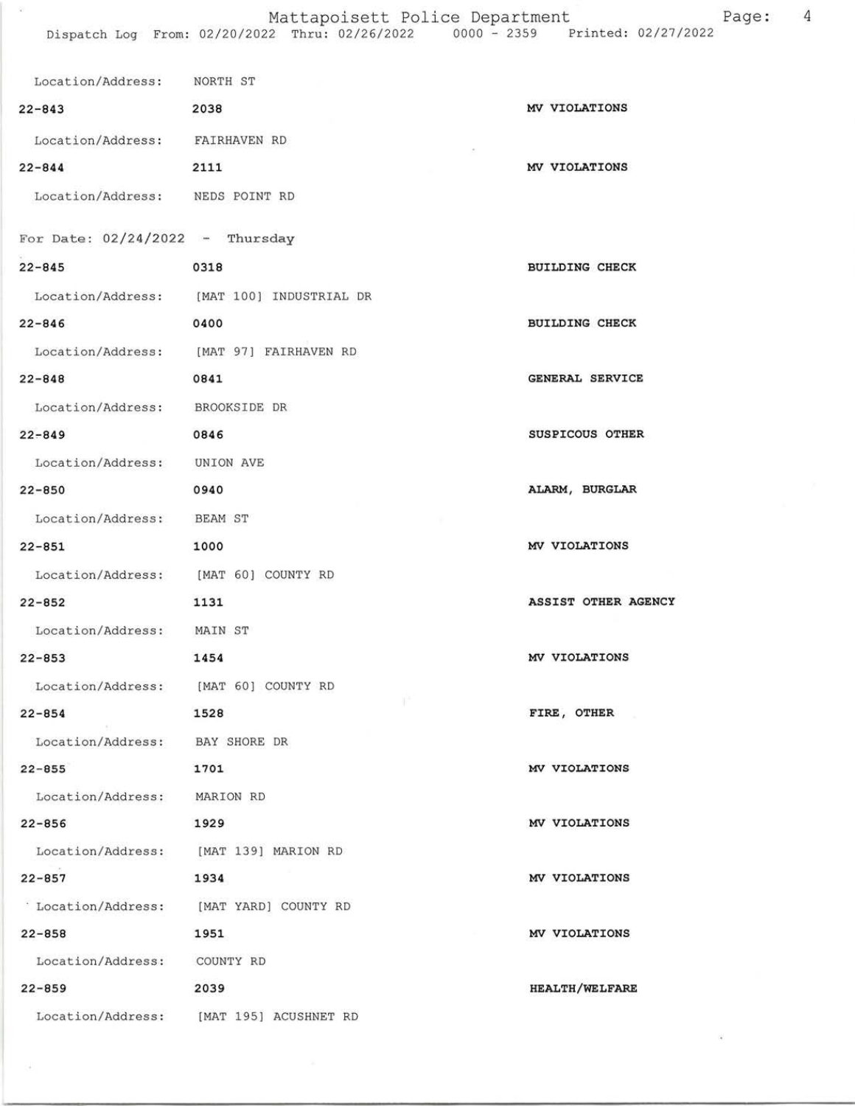## Mattapoisett Police Department Page: 4

 $\langle \hat{a} \rangle$ 

| Location/Address: NORTH ST           |                                           |                       |
|--------------------------------------|-------------------------------------------|-----------------------|
| $22 - 843$                           | 2038                                      | MV VIOLATIONS         |
| Location/Address: FAIRHAVEN RD       |                                           |                       |
| $22 - 844$                           | 2111                                      | MV VIOLATIONS         |
| Location/Address: NEDS POINT RD      |                                           |                       |
| For Date: $02/24/2022$ - Thursday    |                                           |                       |
| $22 - 845$                           | 0318                                      | <b>BUILDING CHECK</b> |
|                                      | Location/Address: [MAT 100] INDUSTRIAL DR |                       |
| $22 - 846$                           | 0400                                      | <b>BUILDING CHECK</b> |
|                                      | Location/Address: [MAT 97] FAIRHAVEN RD   |                       |
| $22 - 848$                           | 0841                                      | GENERAL SERVICE       |
| Location/Address: BROOKSIDE DR       |                                           |                       |
| $22 - 849$                           | 0846                                      | SUSPICOUS OTHER       |
| Location/Address: UNION AVE          |                                           |                       |
| $22 - 850$                           | 0940                                      | ALARM, BURGLAR        |
| Location/Address: BEAM ST            |                                           |                       |
| $22 - 851$                           | 1000                                      | MV VIOLATIONS         |
| Location/Address: [MAT 60] COUNTY RD |                                           |                       |
| $22 - 852$                           | 1131                                      | ASSIST OTHER AGENCY   |
| Location/Address: MAIN ST            |                                           |                       |
| $22 - 853$                           | 1454                                      | MV VIOLATIONS         |
| Location/Address:                    | [MAT 60] COUNTY RD                        |                       |
| $22 - 854$                           | 1528                                      | FIRE, OTHER           |
| Location/Address: BAY SHORE DR       |                                           |                       |
| $22 - 855$                           | 1701                                      | MV VIOLATIONS         |
| Location/Address: MARION RD          |                                           |                       |
| $22 - 856$                           | 1929                                      | MV VIOLATIONS         |
|                                      | Location/Address: [MAT 139] MARION RD     |                       |
| $22 - 857$                           | 1934                                      | MV VIOLATIONS         |
| Location/Address:                    | [MAT YARD] COUNTY RD                      |                       |
| $22 - 858$                           | 1951                                      | MV VIOLATIONS         |
| Location/Address: COUNTY RD          |                                           |                       |
| $22 - 859$                           | 2039                                      | <b>HEALTH/WELFARE</b> |
|                                      | Location/Address: [MAT 195] ACUSHNET RD   |                       |

策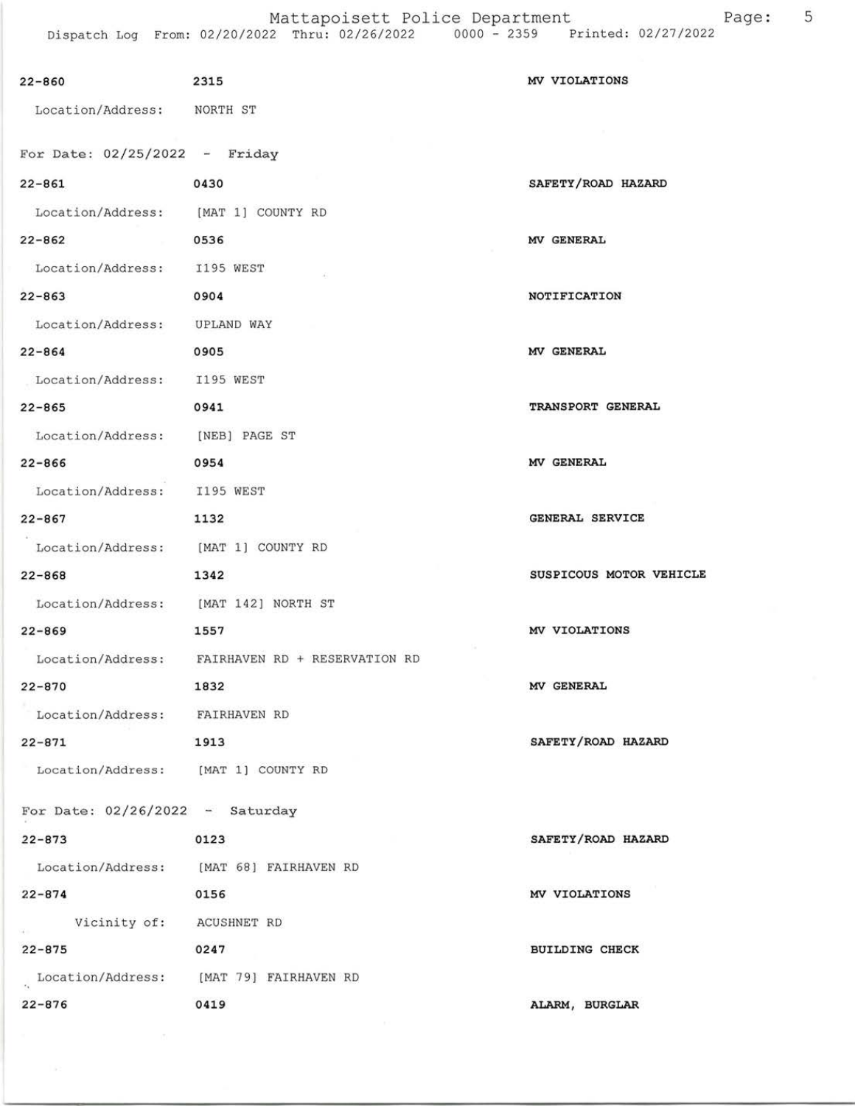| $22 - 860$                           | 2315                                            | MV VIOLATIONS                  |
|--------------------------------------|-------------------------------------------------|--------------------------------|
| Location/Address: NORTH ST           |                                                 |                                |
| For Date: $02/25/2022 -$ Friday      |                                                 |                                |
| $22 - 861$                           | 0430                                            | SAFETY/ROAD HAZARD             |
| Location/Address: [MAT 1] COUNTY RD  |                                                 |                                |
| $22 - 862$                           | 0536                                            | MV GENERAL                     |
| Location/Address: I195 WEST          |                                                 |                                |
| $22 - 863$                           | 0904                                            | NOTIFICATION                   |
| Location/Address: UPLAND WAY         |                                                 |                                |
| $22 - 864$                           | 0905                                            | MV GENERAL                     |
| Location/Address: I195 WEST          |                                                 |                                |
| $22 - 865$                           | 0941                                            | TRANSPORT GENERAL              |
| Location/Address: [NEB] PAGE ST      |                                                 |                                |
| $22 - 866$                           | 0954                                            | MV GENERAL                     |
| Location/Address: I195 WEST          |                                                 |                                |
| $22 - 867$                           | 1132                                            | GENERAL SERVICE                |
| Location/Address: [MAT 1] COUNTY RD  |                                                 |                                |
| $22 - 868$                           | 1342                                            | <b>SUSPICOUS MOTOR VEHICLE</b> |
| Location/Address: [MAT 142] NORTH ST |                                                 |                                |
| $22 - 869$                           | 1557                                            | MV VIOLATIONS                  |
|                                      | Location/Address: FAIRHAVEN RD + RESERVATION RD |                                |
| $22 - 870$                           | 1832                                            | <b>MV GENERAL</b>              |
| Location/Address: FAIRHAVEN RD       |                                                 |                                |
| $22 - 871$                           | 1913                                            | SAFETY/ROAD HAZARD             |
| Location/Address: [MAT 1] COUNTY RD  |                                                 |                                |
| For Date: $02/26/2022 -$ Saturday    |                                                 |                                |
| $22 - 873$                           | 0123                                            | SAFETY/ROAD HAZARD             |
|                                      | Location/Address: [MAT 68] FAIRHAVEN RD         |                                |
| $22 - 874$                           | 0156                                            | MV VIOLATIONS                  |
| Vicinity of: ACUSHNET RD             |                                                 |                                |
| $22 - 875$                           | 0247                                            | <b>BUILDING CHECK</b>          |
|                                      | Location/Address: [MAT 79] FAIRHAVEN RD         |                                |
| $22 - 876$                           | 0419                                            | ALARM, BURGLAR                 |